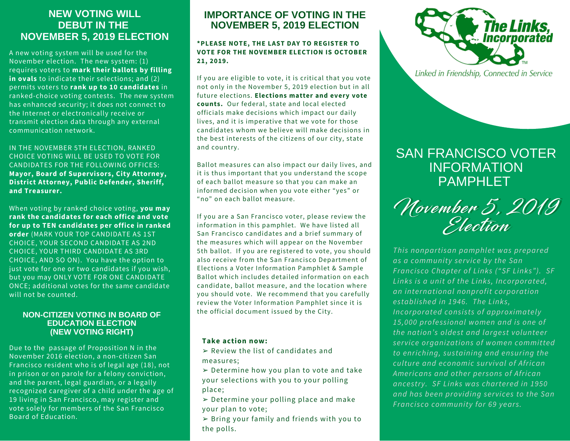# **NEW VOTING WILL DEBUT IN THE NOVEMBER 5, 2019 ELECTION**

A new voting system will be used for the November election. The new system: (1) requires voters to **mark their ballots by filling in ovals** to indicate their selections; and (2) permits voters to **rank up to 10 candidates** in ranked-choice voting contests. The new system has enhanced security; it does not connect to the Internet or electronically receive or transmit election data through any external communication network.

IN THE NOVEMBER 5TH ELECTION, RANKED CHOICE VOTING WILL BE USED TO VOTE FOR CANDIDATES FOR THE FOLLOWING OFFICES: **Mayor, Board of Supervisors, City Attorney, District Attorney, Public Defender, Sheriff, and Treasurer.**

When voting by ranked choice voting, **you may rank the candidates for each office and vote for up to TEN candidates per office in ranked order** (MARK YOUR TOP CANDIDATE AS 1ST CHOICE, YOUR SECOND CANDIDATE AS 2ND CHOICE, YOUR THIRD CANDIDATE AS 3RD CHOICE, AND SO ON). You have the option to just vote for one or two candidates if you wish, but you may ONLY VOTE FOR ONE CANDIDATE ONCE; additional votes for the same candidate will not be counted.

## **NON-CITIZEN VOTING IN BOARD OF EDUCATION ELECTION (NEW VOTING RIGHT)**

Due to the passage of Proposition N in the November 2016 election, a non-citizen San Francisco resident who is of legal age (18), not in prison or on parole for a felony conviction, and the parent, legal guardian, or a legally recognized caregiver of a child under the age of 19 living in San Francisco, may register and vote solely for members of the San Francisco Board of Education.

## **IMPORTANCE OF VOTING IN THE NOVEMBER 5, 2019 ELECTION**

### **\*PLEASE NOTE, THE LAST DAY TO REGISTER TO VOTE FOR THE NOVEMBER ELECTION IS OCTOBER 21, 2019.**

If you are eligible to vote, it is critical that you vote not only in the November 5, 2019 election but in all future elections. **Elections matter and every vote counts.** Our federal, state and local elected officials make decisions which impact our daily lives, and it is imperative that we vote for those candidates whom we believe will make decisions in the best interests of the citizens of our city, state and country.

Ballot measures can also impact our daily lives, and it is thus important that you understand the scope of each ballot measure so that you can make an informed decision when you vote either "yes" or "no" on each ballot measure.

If you are a San Francisco voter, please review the information in this pamphlet. We have listed all San Francisco candidates and a brief summary of the measures which will appear on the November 5th ballot. If you are registered to vote, you should also receive from the San Francisco Department of Elections a Voter Information Pamphlet & Sample Ballot which includes detailed information on each candidate, ballot measure, and the location where you should vote. We recommend that you carefully review the Voter Information Pamphlet since it is the official document issued by the City.

## **Take action now:**

- $\triangleright$  Review the list of candidates and measures;
- $\geq$  Determine how you plan to vote and take your selections with you to your polling place;
- $\geq$  Determine your polling place and make your plan to vote;
- $\geq$  Bring your family and friends with you to the polls.



Linked in Friendship, Connected in Service

# SAN FRANCISCO VOTER INFORMATION **PAMPHI FT**

November 5, 2019 Election November 5, 2019 Election

*This nonpartisan pamphlet was prepared as a community service by the San Francisco Chapter of Links ("SF Links"). SF Links is a unit of the Links, Incorporated, an international nonprofit corporation established in 1946. The Links, Incorporated consists of approximately 15,000 professional women and is one of the nation's oldest and largest volunteer service organizations of women committed to enriching, sustaining and ensuring the culture and economic survival of African Americans and other persons of African ancestry. SF Links was chartered in 1950 and has been providing services to the San Francisco community for 69 years.*